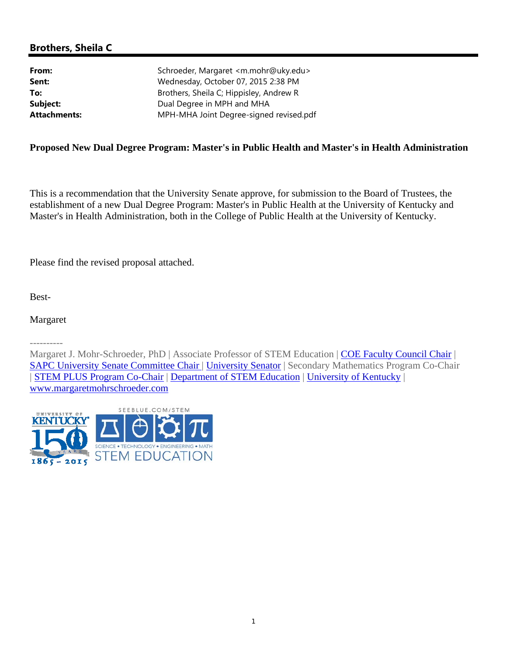# **Brothers, Sheila C**

| From:        | Schroeder, Margaret <m.mohr@uky.edu></m.mohr@uky.edu> |
|--------------|-------------------------------------------------------|
| Sent:        | Wednesday, October 07, 2015 2:38 PM                   |
| To:          | Brothers, Sheila C; Hippisley, Andrew R               |
| Subject:     | Dual Degree in MPH and MHA                            |
| Attachments: | MPH-MHA Joint Degree-signed revised.pdf               |
|              |                                                       |

# **Proposed New Dual Degree Program: Master's in Public Health and Master's in Health Administration**

This is a recommendation that the University Senate approve, for submission to the Board of Trustees, the establishment of a new Dual Degree Program: Master's in Public Health at the University of Kentucky and Master's in Health Administration, both in the College of Public Health at the University of Kentucky.

Please find the revised proposal attached.

Best-

Margaret

----------

Margaret J. Mohr-Schroeder, PhD | Associate Professor of STEM Education | COE Faculty Council Chair | SAPC University Senate Committee Chair | University Senator | Secondary Mathematics Program Co-Chair | STEM PLUS Program Co-Chair | Department of STEM Education | University of Kentucky | www.margaretmohrschroeder.com

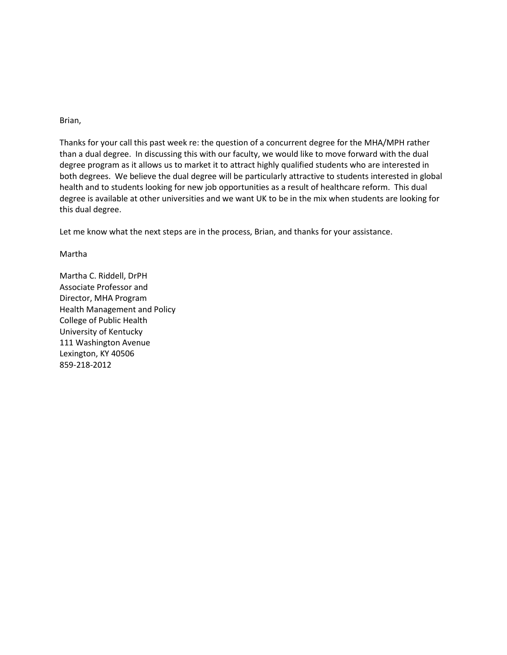## Brian,

Thanks for your call this past week re: the question of a concurrent degree for the MHA/MPH rather than a dual degree. In discussing this with our faculty, we would like to move forward with the dual degree program as it allows us to market it to attract highly qualified students who are interested in both degrees. We believe the dual degree will be particularly attractive to students interested in global health and to students looking for new job opportunities as a result of healthcare reform. This dual degree is available at other universities and we want UK to be in the mix when students are looking for this dual degree.

Let me know what the next steps are in the process, Brian, and thanks for your assistance.

Martha

Martha C. Riddell, DrPH Associate Professor and Director, MHA Program Health Management and Policy College of Public Health University of Kentucky 111 Washington Avenue Lexington, KY 40506 859-218-2012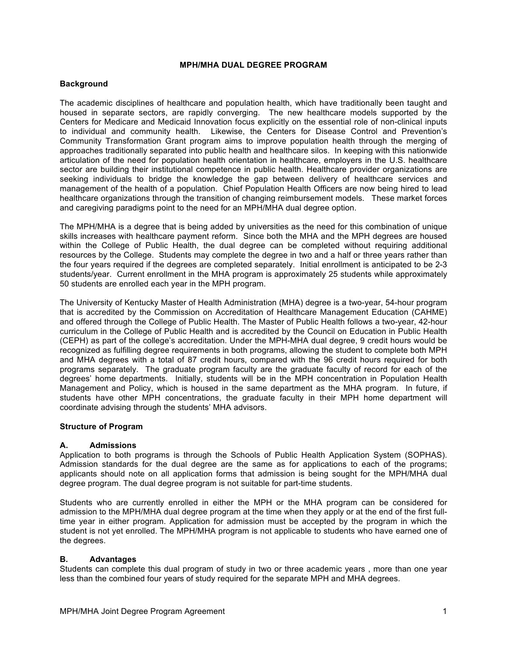## **MPH/MHA DUAL DEGREE PROGRAM**

## **Background**

The academic disciplines of healthcare and population health, which have traditionally been taught and housed in separate sectors, are rapidly converging. The new healthcare models supported by the Centers for Medicare and Medicaid Innovation focus explicitly on the essential role of non-clinical inputs to individual and community health. Likewise, the Centers for Disease Control and Prevention's Community Transformation Grant program aims to improve population health through the merging of approaches traditionally separated into public health and healthcare silos. In keeping with this nationwide articulation of the need for population health orientation in healthcare, employers in the U.S. healthcare sector are building their institutional competence in public health. Healthcare provider organizations are seeking individuals to bridge the knowledge the gap between delivery of healthcare services and management of the health of a population. Chief Population Health Officers are now being hired to lead healthcare organizations through the transition of changing reimbursement models. These market forces and caregiving paradigms point to the need for an MPH/MHA dual degree option.

The MPH/MHA is a degree that is being added by universities as the need for this combination of unique skills increases with healthcare payment reform. Since both the MHA and the MPH degrees are housed within the College of Public Health, the dual degree can be completed without requiring additional resources by the College. Students may complete the degree in two and a half or three years rather than the four years required if the degrees are completed separately. Initial enrollment is anticipated to be 2-3 students/year. Current enrollment in the MHA program is approximately 25 students while approximately 50 students are enrolled each year in the MPH program.

The University of Kentucky Master of Health Administration (MHA) degree is a two-year, 54-hour program that is accredited by the Commission on Accreditation of Healthcare Management Education (CAHME) and offered through the College of Public Health. The Master of Public Health follows a two-year, 42-hour curriculum in the College of Public Health and is accredited by the Council on Education in Public Health (CEPH) as part of the college's accreditation. Under the MPH-MHA dual degree, 9 credit hours would be recognized as fulfilling degree requirements in both programs, allowing the student to complete both MPH and MHA degrees with a total of 87 credit hours, compared with the 96 credit hours required for both programs separately. The graduate program faculty are the graduate faculty of record for each of the degrees' home departments. Initially, students will be in the MPH concentration in Population Health Management and Policy, which is housed in the same department as the MHA program. In future, if students have other MPH concentrations, the graduate faculty in their MPH home department will coordinate advising through the students' MHA advisors.

## **Structure of Program**

## **A. Admissions**

Application to both programs is through the Schools of Public Health Application System (SOPHAS). Admission standards for the dual degree are the same as for applications to each of the programs; applicants should note on all application forms that admission is being sought for the MPH/MHA dual degree program. The dual degree program is not suitable for part-time students.

Students who are currently enrolled in either the MPH or the MHA program can be considered for admission to the MPH/MHA dual degree program at the time when they apply or at the end of the first fulltime year in either program. Application for admission must be accepted by the program in which the student is not yet enrolled. The MPH/MHA program is not applicable to students who have earned one of the degrees.

## **B. Advantages**

Students can complete this dual program of study in two or three academic years , more than one year less than the combined four years of study required for the separate MPH and MHA degrees.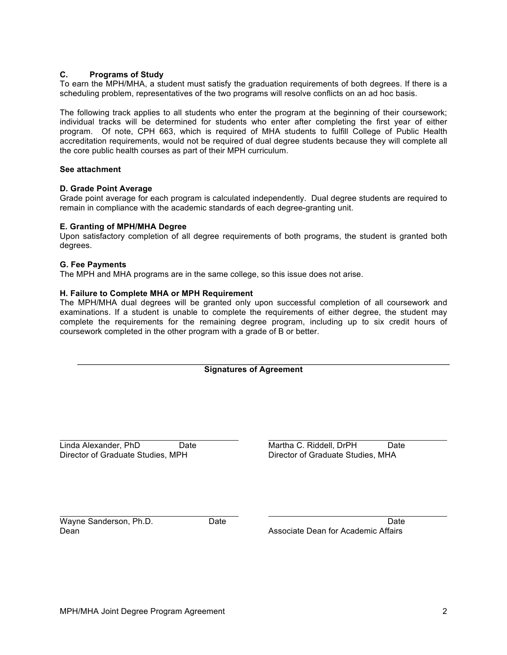## **C. Programs of Study**

To earn the MPH/MHA, a student must satisfy the graduation requirements of both degrees. If there is a scheduling problem, representatives of the two programs will resolve conflicts on an ad hoc basis.

The following track applies to all students who enter the program at the beginning of their coursework; individual tracks will be determined for students who enter after completing the first year of either program. Of note, CPH 663, which is required of MHA students to fulfill College of Public Health accreditation requirements, would not be required of dual degree students because they will complete all the core public health courses as part of their MPH curriculum.

## **See attachment**

#### **D. Grade Point Average**

Grade point average for each program is calculated independently. Dual degree students are required to remain in compliance with the academic standards of each degree-granting unit.

#### **E. Granting of MPH/MHA Degree**

Upon satisfactory completion of all degree requirements of both programs, the student is granted both degrees.

#### **G. Fee Payments**

The MPH and MHA programs are in the same college, so this issue does not arise.

#### **H. Failure to Complete MHA or MPH Requirement**

The MPH/MHA dual degrees will be granted only upon successful completion of all coursework and examinations. If a student is unable to complete the requirements of either degree, the student may complete the requirements for the remaining degree program, including up to six credit hours of coursework completed in the other program with a grade of B or better.

## **Signatures of Agreement**

Director of Graduate Studies, MPH Director of Graduate Studies, MHA

Linda Alexander, PhD Date Martha C. Riddell, DrPH Date

Wayne Sanderson, Ph.D. **Date** Date Date Date Date Date Date

Dean **Dean** Associate Dean for Academic Affairs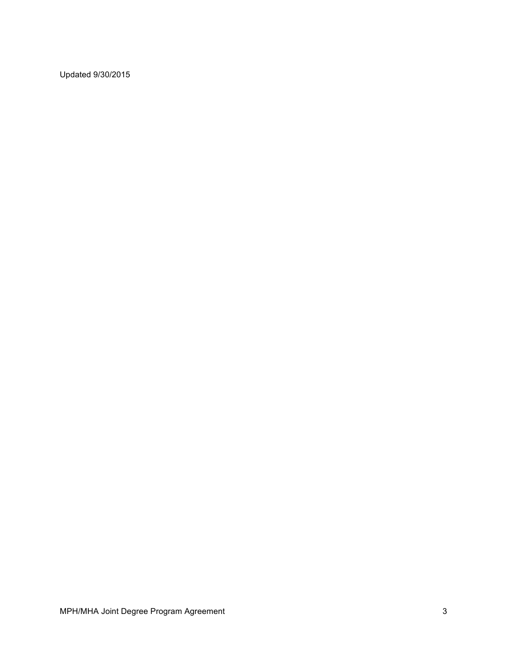Updated 9/30/2015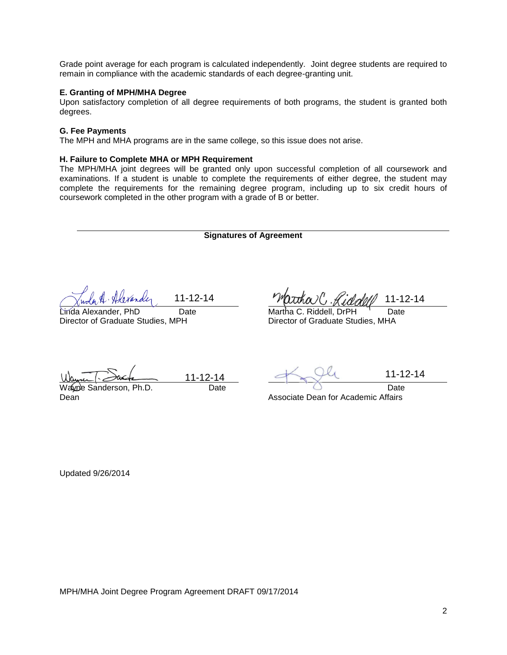Grade point average for each program is calculated independently. Joint degree students are required to remain in compliance with the academic standards of each degree-granting unit.

## **E. Granting of MPH/MHA Degree**

Upon satisfactory completion of all degree requirements of both programs, the student is granted both degrees.

#### **G. Fee Payments**

The MPH and MHA programs are in the same college, so this issue does not arise.

### **H. Failure to Complete MHA or MPH Requirement**

The MPH/MHA joint degrees will be granted only upon successful completion of all coursework and examinations. If a student is unable to complete the requirements of either degree, the student may complete the requirements for the remaining degree program, including up to six credit hours of coursework completed in the other program with a grade of B or better.

## **Signatures of Agreement**

 $\overline{\mathcal{L}}$ 11-12-14

Director of Graduate Studies, MPH Director of Graduate Studies, MHA

Linda Alexander, PhD Date Date Martha C. Riddell, DrPH  $\frac{12-14}{\text{date}}$ <br>
Here  $\frac{12-14}{\text{Martha C. Riddell, DrPH}}$  Date<br>
Director of Graduate Studies, MHA<br>  $\frac{11-12-14}{\text{Diractor of Graduate Studies, MHA}}$ <br>  $\frac{11-12-14}{\text{Diractor of Graduate Studies}}$ 

 $\overline{a}$ 

Wayne Sanderson, Ph.D. Date Date Date Date Date Date Date

Dean Associate Dean for Academic Affairs

Updated 9/26/2014

MPH/MHA Joint Degree Program Agreement DRAFT 09/17/2014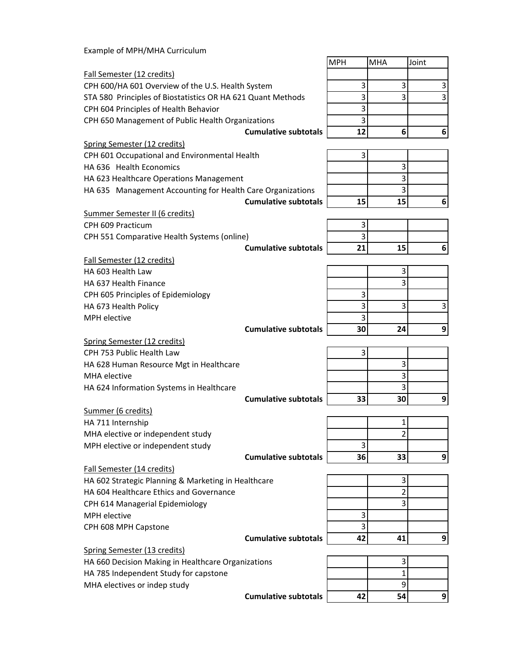| Example of MPH/MHA Curriculum                               |                                   |            |       |
|-------------------------------------------------------------|-----------------------------------|------------|-------|
|                                                             | <b>MPH</b>                        | <b>MHA</b> | Joint |
| Fall Semester (12 credits)                                  |                                   |            |       |
| CPH 600/HA 601 Overview of the U.S. Health System           | 3                                 | 3          | 3     |
| STA 580 Principles of Biostatistics OR HA 621 Quant Methods | 3                                 | 3          | 3     |
| CPH 604 Principles of Health Behavior                       | 3                                 |            |       |
| CPH 650 Management of Public Health Organizations           | 3                                 |            |       |
|                                                             | 12<br><b>Cumulative subtotals</b> | 6          | 6     |
| Spring Semester (12 credits)                                |                                   |            |       |
| CPH 601 Occupational and Environmental Health               |                                   | 3          |       |
| HA 636 Health Economics                                     |                                   | 3          |       |
| HA 623 Healthcare Operations Management                     |                                   | 3          |       |
| HA 635 Management Accounting for Health Care Organizations  |                                   | 3          |       |
|                                                             | <b>Cumulative subtotals</b><br>15 | 15         | 6     |
| Summer Semester II (6 credits)                              |                                   |            |       |
| CPH 609 Practicum                                           | 3                                 |            |       |
| CPH 551 Comparative Health Systems (online)                 | 3                                 |            |       |
|                                                             | <b>Cumulative subtotals</b><br>21 | 15         | 6     |
| Fall Semester (12 credits)                                  |                                   |            |       |
| HA 603 Health Law                                           |                                   | 3          |       |
| HA 637 Health Finance                                       |                                   | 3          |       |
| CPH 605 Principles of Epidemiology                          | 3                                 |            |       |
| HA 673 Health Policy                                        | 3                                 | 3          | 3     |
| MPH elective                                                | 3                                 |            |       |
|                                                             | <b>Cumulative subtotals</b><br>30 | 24         | 9     |
| Spring Semester (12 credits)                                |                                   |            |       |
| CPH 753 Public Health Law                                   | 3                                 |            |       |
| HA 628 Human Resource Mgt in Healthcare                     |                                   | 3          |       |
| MHA elective                                                |                                   | 3          |       |
| HA 624 Information Systems in Healthcare                    |                                   | 3          |       |
|                                                             | <b>Cumulative subtotals</b><br>33 | 30         | 9     |
| Summer (6 credits)                                          |                                   |            |       |
| HA 711 Internship                                           |                                   | 1          |       |
| MHA elective or independent study                           |                                   | 2          |       |
| MPH elective or independent study                           | 3                                 |            |       |
|                                                             | <b>Cumulative subtotals</b><br>36 | 33         | 9     |
| Fall Semester (14 credits)                                  |                                   |            |       |
| HA 602 Strategic Planning & Marketing in Healthcare         |                                   | 3          |       |
| HA 604 Healthcare Ethics and Governance                     |                                   | 2          |       |
| CPH 614 Managerial Epidemiology                             |                                   | 3          |       |
| <b>MPH</b> elective                                         | 3                                 |            |       |
| CPH 608 MPH Capstone                                        | 3                                 |            |       |
|                                                             | <b>Cumulative subtotals</b><br>42 | 41         | 9     |
| Spring Semester (13 credits)                                |                                   |            |       |
| HA 660 Decision Making in Healthcare Organizations          |                                   | 3          |       |
| HA 785 Independent Study for capstone                       |                                   | 1          |       |
| MHA electives or indep study                                |                                   | 9          |       |
|                                                             | <b>Cumulative subtotals</b><br>42 | 54         | 9     |
|                                                             |                                   |            |       |